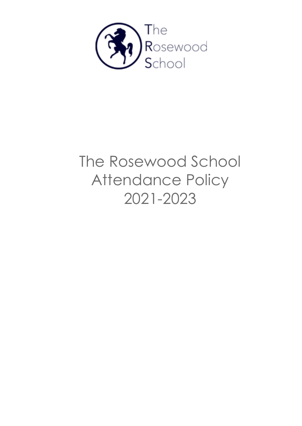

# The Rosewood School Attendance Policy 2021-2023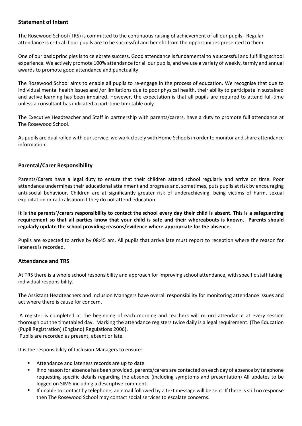# **Statement of Intent**

The Rosewood School (TRS) is committed to the continuous raising of achievement of all our pupils. Regular attendance is critical if our pupils are to be successful and benefit from the opportunities presented to them.

One of our basic principles is to celebrate success. Good attendance is fundamental to a successful and fulfilling school experience. We actively promote 100% attendance for all our pupils, and we use a variety of weekly, termly and annual awards to promote good attendance and punctuality.

The Rosewood School aims to enable all pupils to re-engage in the process of education. We recognise that due to individual mental health issues and /or limitations due to poor physical health, their ability to participate in sustained and active learning has been impaired. However, the expectation is that all pupils are required to attend full-time unless a consultant has indicated a part-time timetable only.

The Executive Headteacher and Staff in partnership with parents/carers, have a duty to promote full attendance at The Rosewood School.

As pupils are dual rolled with ourservice, we work closely with Home Schools in order to monitor and share attendance information.

# **Parental/Carer Responsibility**

Parents/Carers have a legal duty to ensure that their children attend school regularly and arrive on time. Poor attendance undermines their educational attainment and progress and, sometimes, puts pupils at risk by encouraging anti-social behaviour. Children are at significantly greater risk of underachieving, being victims of harm, sexual exploitation or radicalisation if they do not attend education.

**It is the parents'/carers responsibility to contact the school every day their child is absent. This is a safeguarding requirement so that all parties know that your child is safe and their whereabouts is known. Parents should regularly update the school providing reasons/evidence where appropriate for the absence.**

Pupils are expected to arrive by 08:45 am. All pupils that arrive late must report to reception where the reason for lateness is recorded.

# **Attendance and TRS**

At TRS there is a whole school responsibility and approach for improving school attendance, with specific staff taking individual responsibility.

The Assistant Headteachers and Inclusion Managers have overall responsibility for monitoring attendance issues and act where there is cause for concern.

A register is completed at the beginning of each morning and teachers will record attendance at every session thorough out the timetabled day. Marking the attendance registers twice daily is a legal requirement. (The Education (Pupil Registration) (England) Regulations 2006).

Pupils are recorded as present, absent or late.

It is the responsibility of Inclusion Managers to ensure:

- Attendance and lateness records are up to date
- If no reason for absence has been provided, parents/carers are contacted on each day of absence by telephone requesting specific details regarding the absence (including symptoms and presentation) All updates to be logged on SIMS including a descriptive comment.
- If unable to contact by telephone, an email followed by a text message will be sent. If there is still no response then The Rosewood School may contact social services to escalate concerns.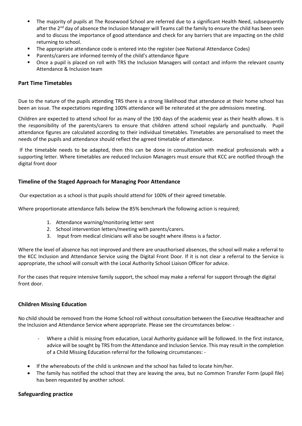- The majority of pupils at The Rosewood School are referred due to a significant Health Need, subsequently after the 2<sup>nd</sup> day of absence the Inclusion Manager will Teams call the family to ensure the child has been seen and to discuss the importance of good attendance and check for any barriers that are impacting on the child returning to school.
- The appropriate attendance code is entered into the register (see National Attendance Codes)
- Parents/carers are informed termly of the child's attendance figure
- Once a pupil is placed on roll with TRS the Inclusion Managers will contact and inform the relevant county Attendance & Inclusion team

# **Part Time Timetables**

Due to the nature of the pupils attending TRS there is a strong likelihood that attendance at their home school has been an issue. The expectations regarding 100% attendance will be reiterated at the pre admissions meeting.

Children are expected to attend school for as many of the 190 days of the academic year as their health allows. It is the responsibility of the parents/carers to ensure that children attend school regularly and punctually. Pupil attendance figures are calculated according to their individual timetables. Timetables are personalised to meet the needs of the pupils and attendance should reflect the agreed timetable of attendance.

If the timetable needs to be adapted, then this can be done in consultation with medical professionals with a supporting letter. Where timetables are reduced Inclusion Managers must ensure that KCC are notified through the digital front door

# **Timeline of the Staged Approach for Managing Poor Attendance**

Our expectation as a school is that pupils should attend for 100% of their agreed timetable.

Where proportionate attendance falls below the 85% benchmark the following action is required;

- 1. Attendance warning/monitoring letter sent
- 2. School intervention letters/meeting with parents/carers.
- 3. Input from medical clinicians will also be sought where illness is a factor.

Where the level of absence has not improved and there are unauthorised absences, the school will make a referral to the KCC Inclusion and Attendance Service using the Digital Front Door. If it is not clear a referral to the Service is appropriate, the school will consult with the Local Authority School Liaison Officer for advice.

For the cases that require intensive family support, the school may make a referral for support through the digital front door.

# **Children Missing Education**

No child should be removed from the Home School roll without consultation between the Executive Headteacher and the Inclusion and Attendance Service where appropriate. Please see the circumstances below: -

- Where a child is missing from education, Local Authority guidance will be followed. In the first instance, advice will be sought by TRS from the Attendance and Inclusion Service. This may result in the completion of a Child Missing Education referral for the following circumstances: -
- If the whereabouts of the child is unknown and the school has failed to locate him/her.
- The family has notified the school that they are leaving the area, but no Common Transfer Form (pupil file) has been requested by another school.

#### **Safeguarding practice**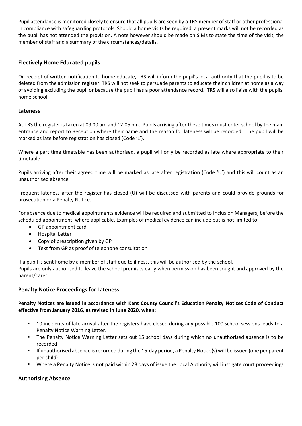Pupil attendance is monitored closely to ensure that all pupils are seen by a TRS member of staff or other professional in compliance with safeguarding protocols. Should a home visits be required, a present marks will not be recorded as the pupil has not attended the provision. A note however should be made on SIMs to state the time of the visit, the member of staff and a summary of the circumstances/details.

# **Electively Home Educated pupils**

On receipt of written notification to home educate, TRS will inform the pupil's local authority that the pupil is to be deleted from the admission register. TRS will not seek to persuade parents to educate their children at home as a way of avoiding excluding the pupil or because the pupil has a poor attendance record. TRS will also liaise with the pupils' home school.

# **Lateness**

At TRS the register is taken at 09.00 am and 12:05 pm. Pupils arriving after these times must enter school by the main entrance and report to Reception where their name and the reason for lateness will be recorded. The pupil will be marked as late before registration has closed (Code 'L').

Where a part time timetable has been authorised, a pupil will only be recorded as late where appropriate to their timetable.

Pupils arriving after their agreed time will be marked as late after registration (Code 'U') and this will count as an unauthorised absence.

Frequent lateness after the register has closed (U) will be discussed with parents and could provide grounds for prosecution or a Penalty Notice.

For absence due to medical appointments evidence will be required and submitted to Inclusion Managers, before the scheduled appointment, where applicable. Examples of medical evidence can include but is not limited to:

- GP appointment card
- Hospital Letter
- Copy of prescription given by GP
- Text from GP as proof of telephone consultation

If a pupil is sent home by a member of staff due to illness, this will be authorised by the school.

Pupils are only authorised to leave the school premises early when permission has been sought and approved by the parent/carer

#### **Penalty Notice Proceedings for Lateness**

# **Penalty Notices are issued in accordance with Kent County Council's Education Penalty Notices Code of Conduct effective from January 2016, as revised in June 2020, when:**

- 10 incidents of late arrival after the registers have closed during any possible 100 school sessions leads to a Penalty Notice Warning Letter.
- The Penalty Notice Warning Letter sets out 15 school days during which no unauthorised absence is to be recorded
- If unauthorised absence is recorded during the 15-day period, a Penalty Notice(s) will be issued (one per parent per child)
- Where a Penalty Notice is not paid within 28 days of issue the Local Authority will instigate court proceedings

# **Authorising Absence**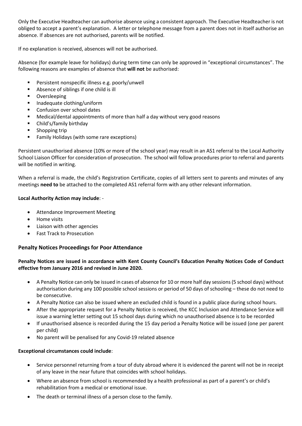Only the Executive Headteacher can authorise absence using a consistent approach. The Executive Headteacher is not obliged to accept a parent's explanation. A letter or telephone message from a parent does not in itself authorise an absence. If absences are not authorised, parents will be notified.

If no explanation is received, absences will not be authorised.

Absence (for example leave for holidays) during term time can only be approved in "exceptional circumstances". The following reasons are examples of absence that **will not** be authorised:

- **Persistent nonspecific illness e.g. poorly/unwell**
- Absence of siblings if one child is ill
- **•** Oversleeping
- Inadequate clothing/uniform
- **Confusion over school dates**
- Medical/dental appointments of more than half a day without very good reasons
- Child's/family birthday
- **Shopping trip**
- **Family Holidays (with some rare exceptions)**

Persistent unauthorised absence (10% or more of the school year) may result in an AS1 referral to the Local Authority School Liaison Officer for consideration of prosecution. The school will follow procedures prior to referral and parents will be notified in writing.

When a referral is made, the child's Registration Certificate, copies of all letters sent to parents and minutes of any meetings **need to** be attached to the completed AS1 referral form with any other relevant information.

# **Local Authority Action may include**: -

- Attendance Improvement Meeting
- Home visits
- Liaison with other agencies
- Fast Track to Prosecution

# **Penalty Notices Proceedings for Poor Attendance**

# **Penalty Notices are issued in accordance with Kent County Council's Education Penalty Notices Code of Conduct effective from January 2016 and revised in June 2020.**

- A Penalty Notice can only be issued in cases of absence for 10 or more half day sessions (5 school days) without authorisation during any 100 possible school sessions or period of 50 days of schooling – these do not need to be consecutive.
- A Penalty Notice can also be issued where an excluded child is found in a public place during school hours.
- After the appropriate request for a Penalty Notice is received, the KCC Inclusion and Attendance Service will issue a warning letter setting out 15 school days during which no unauthorised absence is to be recorded
- If unauthorised absence is recorded during the 15 day period a Penalty Notice will be issued (one per parent per child)
- No parent will be penalised for any Covid-19 related absence

# **Exceptional circumstances could include**:

- Service personnel returning from a tour of duty abroad where it is evidenced the parent will not be in receipt of any leave in the near future that coincides with school holidays.
- Where an absence from school is recommended by a health professional as part of a parent's or child's rehabilitation from a medical or emotional issue.
- The death or terminal illness of a person close to the family.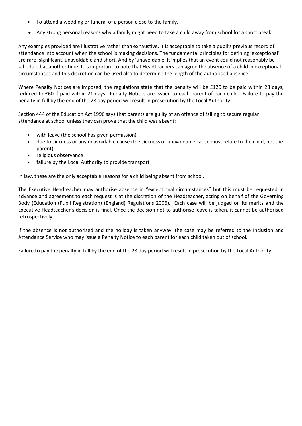- To attend a wedding or funeral of a person close to the family.
- Any strong personal reasons why a family might need to take a child away from school for a short break.

Any examples provided are illustrative rather than exhaustive. It is acceptable to take a pupil's previous record of attendance into account when the school is making decisions. The fundamental principles for defining 'exceptional' are rare, significant, unavoidable and short. And by 'unavoidable' it implies that an event could not reasonably be scheduled at another time. It is important to note that Headteachers can agree the absence of a child in exceptional circumstances and this discretion can be used also to determine the length of the authorised absence.

Where Penalty Notices are imposed, the regulations state that the penalty will be £120 to be paid within 28 days, reduced to £60 if paid within 21 days. Penalty Notices are issued to each parent of each child. Failure to pay the penalty in full by the end of the 28 day period will result in prosecution by the Local Authority.

Section 444 of the Education Act 1996 says that parents are guilty of an offence of failing to secure regular attendance at school unless they can prove that the child was absent:

- with leave (the school has given permission)
- due to sickness or any unavoidable cause (the sickness or unavoidable cause must relate to the child, not the parent)
- religious observance
- failure by the Local Authority to provide transport

In law, these are the only acceptable reasons for a child being absent from school.

The Executive Headteacher may authorise absence in "exceptional circumstances" but this must be requested in advance and agreement to each request is at the discretion of the Headteacher, acting on behalf of the Governing Body (Education (Pupil Registration) (England) Regulations 2006). Each case will be judged on its merits and the Executive Headteacher's decision is final. Once the decision not to authorise leave is taken, it cannot be authorised retrospectively.

If the absence is not authorised and the holiday is taken anyway, the case may be referred to the Inclusion and Attendance Service who may issue a Penalty Notice to each parent for each child taken out of school.

Failure to pay the penalty in full by the end of the 28 day period will result in prosecution by the Local Authority.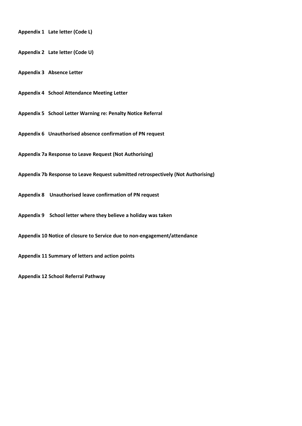**Appendix 1 Late letter (Code L) Appendix 2 Late letter (Code U) Appendix 3 Absence Letter Appendix 4 School Attendance Meeting Letter Appendix 5 School Letter Warning re: Penalty Notice Referral Appendix 6 Unauthorised absence confirmation of PN request Appendix 7a Response to Leave Request (Not Authorising) Appendix 7b Response to Leave Request submitted retrospectively (Not Authorising) Appendix 8 Unauthorised leave confirmation of PN request Appendix 9 School letter where they believe a holiday was taken Appendix 10 Notice of closure to Service due to non-engagement/attendance Appendix 11 Summary of letters and action points Appendix 12 School Referral Pathway**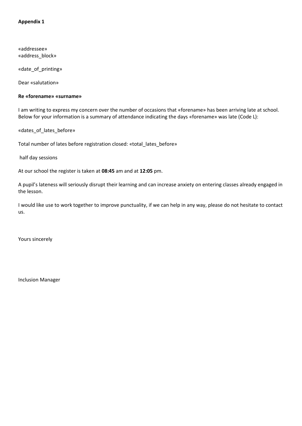«addressee» «address\_block»

«date\_of\_printing»

Dear «salutation»

#### **Re «forename» «surname»**

I am writing to express my concern over the number of occasions that «forename» has been arriving late at school. Below for your information is a summary of attendance indicating the days «forename» was late (Code L):

«dates\_of\_lates\_before»

Total number of lates before registration closed: «total\_lates\_before»

half day sessions

At our school the register is taken at **08:45** am and at **12:05** pm.

A pupil's lateness will seriously disrupt their learning and can increase anxiety on entering classes already engaged in the lesson.

I would like use to work together to improve punctuality, if we can help in any way, please do not hesitate to contact us.

Yours sincerely

Inclusion Manager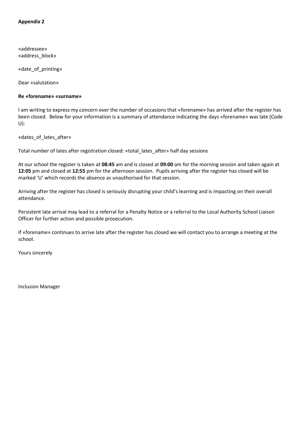«addressee» «address\_block»

«date\_of\_printing»

Dear «salutation»

#### **Re «forename» «surname»**

I am writing to express my concern over the number of occasions that «forename» has arrived after the register has been closed. Below for your information is a summary of attendance indicating the days «forename» was late (Code U):

«dates\_of\_lates\_after»

Total number of lates after registration closed: «total\_lates\_after» half day sessions

At our school the register is taken at **08:45** am and is closed at **09:00** am for the morning session and taken again at **12:05** pm and closed at **12:55** pm for the afternoon session. Pupils arriving after the register has closed will be marked 'U' which records the absence as unauthorised for that session.

Arriving after the register has closed is seriously disrupting your child's learning and is impacting on their overall attendance.

Persistent late arrival may lead to a referral for a Penalty Notice or a referral to the Local Authority School Liaison Officer for further action and possible prosecution.

If «forename» continues to arrive late after the register has closed we will contact you to arrange a meeting at the school.

Yours sincerely

Inclusion Manager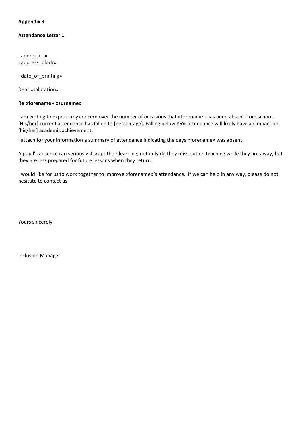#### **Attendance Letter 1**

«addressee» «address\_block»

«date\_of\_printing»

Dear «salutation»

#### **Re «forename» «surname»**

I am writing to express my concern over the number of occasions that «forename» has been absent from school. [His/her] current attendance has fallen to [percentage]. Falling below 85% attendance will likely have an impact on [his/her] academic achievement.

I attach for your information a summary of attendance indicating the days «forename» was absent.

A pupil's absence can seriously disrupt their learning, not only do they miss out on teaching while they are away, but they are less prepared for future lessons when they return.

I would like for us to work together to improve «forename»'s attendance. If we can help in any way, please do not hesitate to contact us.

Yours sincerely

Inclusion Manager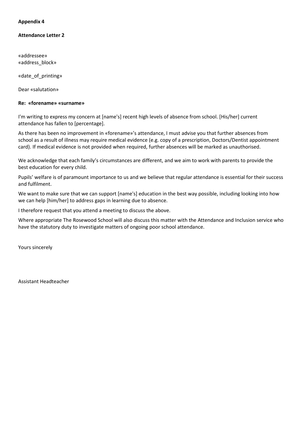#### **Attendance Letter 2**

«addressee» «address\_block»

«date\_of\_printing»

Dear «salutation»

#### **Re: «forename» «surname»**

I'm writing to express my concern at [name's] recent high levels of absence from school. [His/her] current attendance has fallen to [percentage].

As there has been no improvement in «forename»'s attendance, I must advise you that further absences from school as a result of illness may require medical evidence (e.g. copy of a prescription, Doctors/Dentist appointment card). If medical evidence is not provided when required, further absences will be marked as unauthorised.

We acknowledge that each family's circumstances are different, and we aim to work with parents to provide the best education for every child.

Pupils' welfare is of paramount importance to us and we believe that regular attendance is essential for their success and fulfilment.

We want to make sure that we can support [name's] education in the best way possible, including looking into how we can help [him/her] to address gaps in learning due to absence.

I therefore request that you attend a meeting to discuss the above.

Where appropriate The Rosewood School will also discuss this matter with the Attendance and Inclusion service who have the statutory duty to investigate matters of ongoing poor school attendance.

Yours sincerely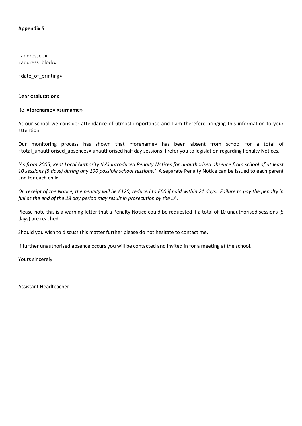«addressee» «address\_block»

«date\_of\_printing»

#### Dear **«salutation»**

#### Re **«forename» «surname»**

At our school we consider attendance of utmost importance and I am therefore bringing this information to your attention.

Our monitoring process has shown that «forename» has been absent from school for a total of «total\_unauthorised\_absences» unauthorised half day sessions. I refer you to legislation regarding Penalty Notices.

*'As from 2005, Kent Local Authority (LA) introduced Penalty Notices for unauthorised absence from school of at least 10 sessions (5 days) during any 100 possible school sessions.'* A separate Penalty Notice can be issued to each parent and for each child.

*On receipt of the Notice, the penalty will be £120, reduced to £60 if paid within 21 days. Failure to pay the penalty in full at the end of the 28 day period may result in prosecution by the LA.*

Please note this is a warning letter that a Penalty Notice could be requested if a total of 10 unauthorised sessions (5 days) are reached.

Should you wish to discuss this matter further please do not hesitate to contact me.

If further unauthorised absence occurs you will be contacted and invited in for a meeting at the school.

Yours sincerely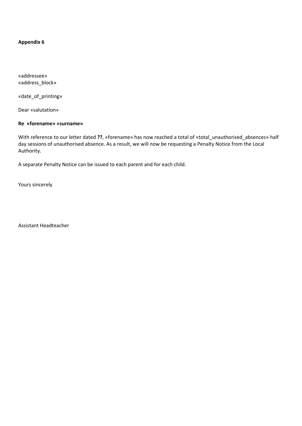«addressee» «address\_block»

«date\_of\_printing»

Dear «salutation»

#### **Re «forename» «surname»**

With reference to our letter dated **??**, «forename» has now reached a total of «total\_unauthorised\_absences» half day sessions of unauthorised absence. As a result, we will now be requesting a Penalty Notice from the Local Authority.

A separate Penalty Notice can be issued to each parent and for each child.

Yours sincerely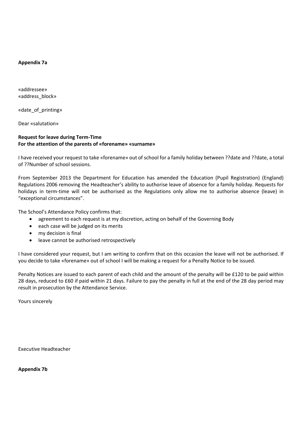#### **Appendix 7a**

«addressee» «address\_block»

«date\_of\_printing»

Dear «salutation»

# **Request for leave during Term-Time For the attention of the parents of «forename» «surname»**

I have received your request to take «forename» out of school for a family holiday between ??date and ??date, a total of ??Number of school sessions.

From September 2013 the Department for Education has amended the Education (Pupil Registration) (England) Regulations 2006 removing the Headteacher's ability to authorise leave of absence for a family holiday. Requests for holidays in term-time will not be authorised as the Regulations only allow me to authorise absence (leave) in "exceptional circumstances".

The School's Attendance Policy confirms that:

- agreement to each request is at my discretion, acting on behalf of the Governing Body
- each case will be judged on its merits
- my decision is final
- leave cannot be authorised retrospectively

I have considered your request, but I am writing to confirm that on this occasion the leave will not be authorised. If you decide to take «forename» out of school I will be making a request for a Penalty Notice to be issued.

Penalty Notices are issued to each parent of each child and the amount of the penalty will be £120 to be paid within 28 days, reduced to £60 if paid within 21 days. Failure to pay the penalty in full at the end of the 28 day period may result in prosecution by the Attendance Service.

Yours sincerely

Executive Headteacher

**Appendix 7b**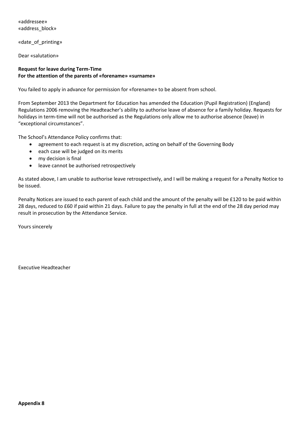«addressee» «address\_block»

«date\_of\_printing»

Dear «salutation»

# **Request for leave during Term-Time For the attention of the parents of «forename» «surname»**

You failed to apply in advance for permission for «forename» to be absent from school.

From September 2013 the Department for Education has amended the Education (Pupil Registration) (England) Regulations 2006 removing the Headteacher's ability to authorise leave of absence for a family holiday. Requests for holidays in term-time will not be authorised as the Regulations only allow me to authorise absence (leave) in "exceptional circumstances".

The School's Attendance Policy confirms that:

- agreement to each request is at my discretion, acting on behalf of the Governing Body
- each case will be judged on its merits
- my decision is final
- leave cannot be authorised retrospectively

As stated above, I am unable to authorise leave retrospectively, and I will be making a request for a Penalty Notice to be issued.

Penalty Notices are issued to each parent of each child and the amount of the penalty will be £120 to be paid within 28 days, reduced to £60 if paid within 21 days. Failure to pay the penalty in full at the end of the 28 day period may result in prosecution by the Attendance Service.

Yours sincerely

Executive Headteacher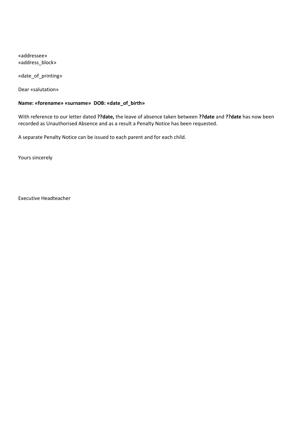«addressee» «address\_block»

«date\_of\_printing»

Dear «salutation»

# **Name: «forename» «surname» DOB: «date\_of\_birth»**

With reference to our letter dated **??date,** the leave of absence taken between **??date** and **??date** has now been recorded as Unauthorised Absence and as a result a Penalty Notice has been requested.

A separate Penalty Notice can be issued to each parent and for each child.

Yours sincerely

Executive Headteacher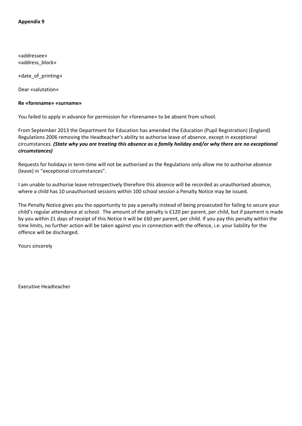«addressee» «address\_block»

«date\_of\_printing»

Dear «salutation»

#### **Re «forename» «surname»**

You failed to apply in advance for permission for «forename» to be absent from school.

From September 2013 the Department for Education has amended the Education (Pupil Registration) (England) Regulations 2006 removing the Headteacher's ability to authorise leave of absence, except in exceptional circumstances. *(State why you are treating this absence as a family holiday and/or why there are no exceptional circumstances)*

Requests for holidays in term-time will not be authorised as the Regulations only allow me to authorise absence (leave) in "exceptional circumstances".

I am unable to authorise leave retrospectively therefore this absence will be recorded as unauthorised absence, where a child has 10 unauthorised sessions within 100 school session a Penalty Notice may be issued.

The Penalty Notice gives you the opportunity to pay a penalty instead of being prosecuted for failing to secure your child's regular attendance at school. The amount of the penalty is £120 per parent, per child, but if payment is made by you within 21 days of receipt of this Notice it will be £60 per parent, per child. If you pay this penalty within the time limits, no further action will be taken against you in connection with the offence, i.e. your liability for the offence will be discharged.

Yours sincerely

Executive Headteacher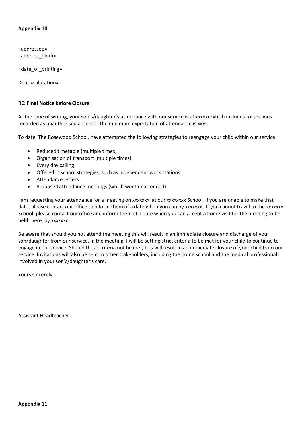«addressee» «address\_block»

«date\_of\_printing»

Dear «salutation»

#### **RE: Final Notice before Closure**

At the time of writing, your son's/daughter's attendance with our service is at xxxxxx which includes xx sessions recorded as unauthorised absence. The minimum expectation of attendance is xx%.

To date, The Rosewood School, have attempted the following strategies to reengage your child within our service:

- Reduced timetable (multiple times)
- Organisation of transport (multiple times)
- Every day calling
- Offered in school strategies, such as independent work stations
- Attendance letters
- Proposed attendance meetings (which went unattended)

I am requesting your attendance for a meeting on xxxxxxx at our xxxxxxxx School. If you are unable to make that date, please contact our office to inform them of a date when you can by xxxxxxx. If you cannot travel to the xxxxxxx School, please contact our office and inform them of a date when you can accept a home visit for the meeting to be held there, by xxxxxxx.

Be aware that should you not attend the meeting this will result in an immediate closure and discharge of your son/daughter from our service. In the meeting, I will be setting strict criteria to be met for your child to continue to engage in our service. Should these criteria not be met, this will result in an immediate closure of your child from our service. Invitations will also be sent to other stakeholders, including the home school and the medical professionals involved in your son's/daughter's care.

Yours sincerely,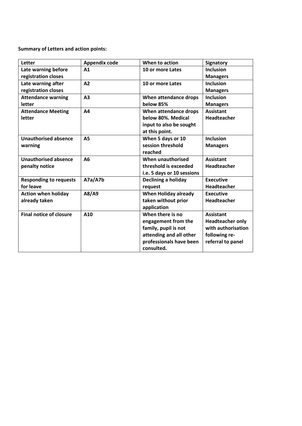**Summary of Letters and action points:**

| Letter                         | <b>Appendix code</b> | When to action              | <b>Signatory</b>        |
|--------------------------------|----------------------|-----------------------------|-------------------------|
| Late warning before            | A1                   | 10 or more Lates            | <b>Inclusion</b>        |
| registration closes            |                      |                             | <b>Managers</b>         |
| Late warning after             | A <sub>2</sub>       | 10 or more Lates            | <b>Inclusion</b>        |
| registration closes            |                      |                             | <b>Managers</b>         |
| <b>Attendance warning</b>      | A <sub>3</sub>       | When attendance drops       | <b>Inclusion</b>        |
| letter                         |                      | below 85%                   | <b>Managers</b>         |
| <b>Attendance Meeting</b>      | A4                   | When attendance drops       | <b>Assistant</b>        |
| letter                         |                      | below 80%. Medical          | <b>Headteacher</b>      |
|                                |                      | input to also be sought     |                         |
|                                |                      | at this point.              |                         |
| <b>Unauthorised absence</b>    | <b>A5</b>            | When 5 days or 10           | <b>Inclusion</b>        |
| warning                        |                      | session threshold           | <b>Managers</b>         |
|                                |                      | reached                     |                         |
| <b>Unauthorised absence</b>    | A <sub>6</sub>       | When unauthorised           | <b>Assistant</b>        |
| penalty notice                 |                      | threshold is exceeded       | <b>Headteacher</b>      |
|                                |                      | i.e. 5 days or 10 sessions  |                         |
| <b>Responding to requests</b>  | A7a/A7b              | Declining a holiday         | <b>Executive</b>        |
| for leave                      |                      | request                     | <b>Headteacher</b>      |
| <b>Action when holiday</b>     | A8/A9                | <b>When Holiday already</b> | <b>Executive</b>        |
| already taken                  |                      | taken without prior         | <b>Headteacher</b>      |
|                                |                      | application                 |                         |
| <b>Final notice of closure</b> | A10                  | When there is no            | <b>Assistant</b>        |
|                                |                      | engagement from the         | <b>Headteacher only</b> |
|                                |                      | family, pupil is not        | with authorisation      |
|                                |                      | attending and all other     | following re-           |
|                                |                      | professionals have been     | referral to panel       |
|                                |                      | consulted.                  |                         |